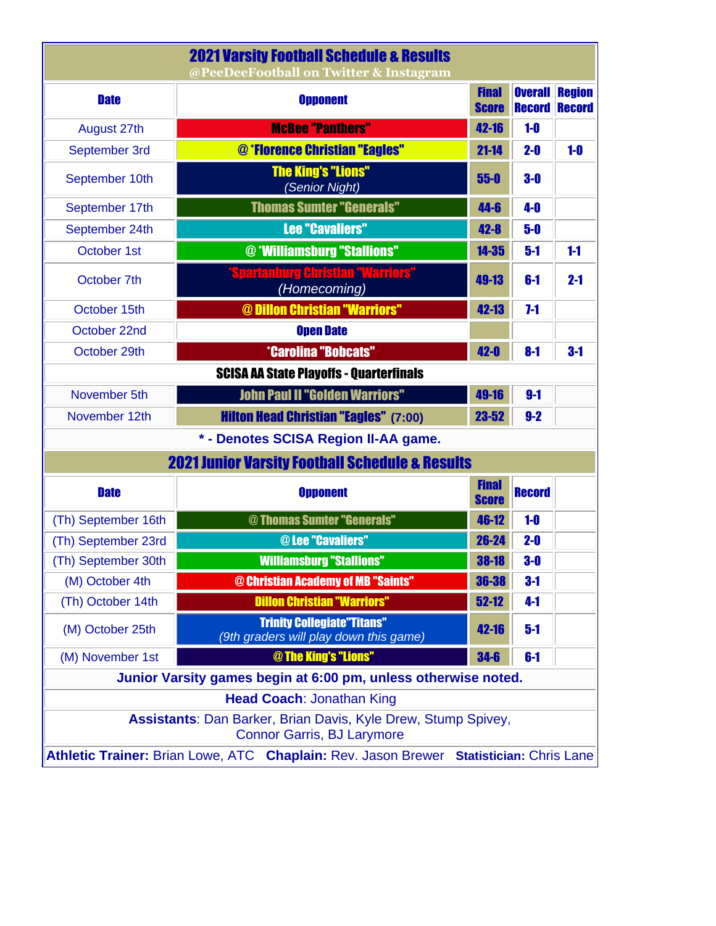| <b>2021 Varsity Foothall Schedule &amp; Results</b><br>@PeeDeeFootball on Twitter & Instagram      |                                                                             |                              |                      |                       |  |  |  |  |
|----------------------------------------------------------------------------------------------------|-----------------------------------------------------------------------------|------------------------------|----------------------|-----------------------|--|--|--|--|
| <b>Date</b>                                                                                        | <b>Opponent</b>                                                             | <b>Final</b><br><b>Score</b> | <b>Record Record</b> | <b>Overall Region</b> |  |  |  |  |
| August 27th                                                                                        | <b>McBee "Panthers"</b>                                                     | 42-16                        | $1-0$                |                       |  |  |  |  |
| September 3rd                                                                                      | @ *Florence Christian "Eagles"                                              | $21 - 14$                    | $2-0$                | $1-0$                 |  |  |  |  |
| September 10th                                                                                     | <b>The King's "Lions"</b><br>(Senior Night)                                 | $55 - 0$                     | $3-0$                |                       |  |  |  |  |
| September 17th                                                                                     | <b>Thomas Sumter "Generals"</b>                                             | 44-6                         | $4-0$                |                       |  |  |  |  |
| September 24th                                                                                     | <b>Lee "Cavaliers"</b>                                                      | $42 - 8$                     | $5-0$                |                       |  |  |  |  |
| October 1st                                                                                        | @ *Williamsburg "Stallions"                                                 | $14 - 35$                    | $5-1$                | $1-1$                 |  |  |  |  |
| October 7th                                                                                        | 'Spartanburg Christian "Warriors"<br>(Homecoming)                           | 49-13                        | $6-1$                | $2 - 1$               |  |  |  |  |
| October 15th                                                                                       | @ Dillon Christian "Warriors"                                               | 42-13                        | $7-1$                |                       |  |  |  |  |
| October 22nd                                                                                       | <b>Open Date</b>                                                            |                              |                      |                       |  |  |  |  |
| October 29th                                                                                       | <b>*Carolina "Bobcats"</b>                                                  | $42 - 0$                     | $8-1$                | $3-1$                 |  |  |  |  |
| <b>SCISA AA State Playoffs - Quarterfinals</b>                                                     |                                                                             |                              |                      |                       |  |  |  |  |
| November 5th                                                                                       | <b>John Paul II "Golden Warriors"</b>                                       | 49-16                        | $9-1$                |                       |  |  |  |  |
| November 12th                                                                                      | <b>Hilton Head Christian "Eagles" (7:00)</b>                                | $23 - 52$                    | $9-2$                |                       |  |  |  |  |
| * - Denotes SCISA Region II-AA game.                                                               |                                                                             |                              |                      |                       |  |  |  |  |
|                                                                                                    | <b>2021 Junior Varsity Football Schedule &amp; Results</b>                  |                              |                      |                       |  |  |  |  |
| <b>Date</b>                                                                                        | <b>Opponent</b>                                                             | <b>Final</b><br><b>Score</b> | <b>Record</b>        |                       |  |  |  |  |
| (Th) September 16th                                                                                | @ Thomas Sumter "Generals"                                                  | 46-12                        | $1-0$                |                       |  |  |  |  |
| (Th) September 23rd                                                                                | @Lee "Cavaliers"                                                            |                              |                      |                       |  |  |  |  |
| (Th) September 30th                                                                                | <b>Williamsburg "Stallions"</b>                                             | $38 - 18$                    | $3-0$                |                       |  |  |  |  |
| (M) October 4th                                                                                    | @ Christian Academy of MB "Saints"                                          | 36-38                        | $3-1$                |                       |  |  |  |  |
| (Th) October 14th                                                                                  | <b>Dillon Christian "Warriors"</b>                                          | $52 - 12$                    | $4-1$                |                       |  |  |  |  |
| (M) October 25th                                                                                   | <b>Trinity Collegiate"Titans"</b><br>(9th graders will play down this game) |                              |                      |                       |  |  |  |  |
| (M) November 1st                                                                                   | @ The King's "Lions"                                                        | $34-6$                       | $6-1$                |                       |  |  |  |  |
| Junior Varsity games begin at 6:00 pm, unless otherwise noted.                                     |                                                                             |                              |                      |                       |  |  |  |  |
| <b>Head Coach: Jonathan King</b>                                                                   |                                                                             |                              |                      |                       |  |  |  |  |
| Assistants: Dan Barker, Brian Davis, Kyle Drew, Stump Spivey,<br><b>Connor Garris, BJ Larymore</b> |                                                                             |                              |                      |                       |  |  |  |  |
| Athletic Trainer: Brian Lowe, ATC Chaplain: Rev. Jason Brewer Statistician: Chris Lane             |                                                                             |                              |                      |                       |  |  |  |  |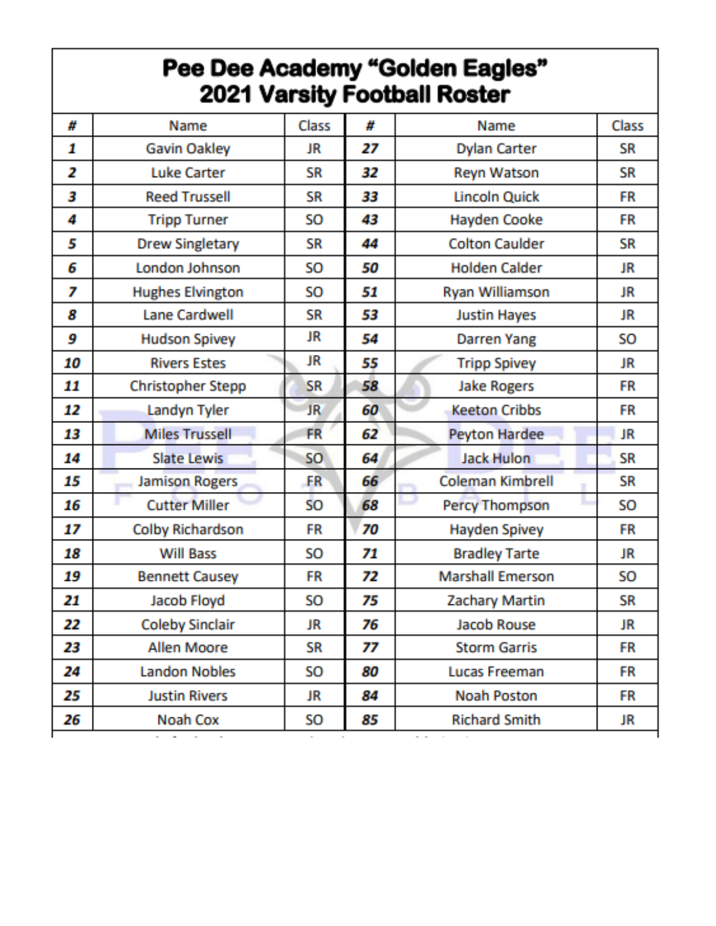## **Pee Dee Academy "Golden Eagles"<br>2021 Varsity Football Roster**

| #  | Name                    | <b>Class</b> | #  | Name                    | Class     |
|----|-------------------------|--------------|----|-------------------------|-----------|
| 1  | <b>Gavin Oakley</b>     | JR           | 27 | <b>Dylan Carter</b>     | <b>SR</b> |
| 2  | <b>Luke Carter</b>      | <b>SR</b>    | 32 | <b>Reyn Watson</b>      | <b>SR</b> |
| 3  | <b>Reed Trussell</b>    | <b>SR</b>    | 33 | <b>Lincoln Quick</b>    | FR        |
| 4  | <b>Tripp Turner</b>     | <b>SO</b>    | 43 | <b>Hayden Cooke</b>     | FR        |
| 5  | <b>Drew Singletary</b>  | <b>SR</b>    | 44 | <b>Colton Caulder</b>   | <b>SR</b> |
| 6  | London Johnson          | SO           | 50 | <b>Holden Calder</b>    | JR        |
| 7  | <b>Hughes Elvington</b> | <b>SO</b>    | 51 | Ryan Williamson         | JR        |
| 8  | <b>Lane Cardwell</b>    | <b>SR</b>    | 53 | <b>Justin Hayes</b>     | <b>JR</b> |
| 9  | <b>Hudson Spivey</b>    | JR           | 54 | <b>Darren Yang</b>      | <b>SO</b> |
| 10 | <b>Rivers Estes</b>     | JR           | 55 | <b>Tripp Spivey</b>     | JR        |
| 11 | Christopher Stepp       | <b>SR</b>    | 58 | <b>Jake Rogers</b>      | FR        |
| 12 | Landyn Tyler            | <b>JR</b>    | 60 | <b>Keeton Cribbs</b>    | FR        |
| 13 | <b>Miles Trussell</b>   | FR           | 62 | <b>Peyton Hardee</b>    | JR        |
| 14 | <b>Slate Lewis</b>      | <b>SO</b>    | 64 | Jack Hulon              | <b>SR</b> |
| 15 | <b>Jamison Rogers</b>   | <b>FR</b>    | 66 | Coleman Kimbrell        | SR        |
| 16 | <b>Cutter Miller</b>    | <b>SO</b>    | 68 | <b>Percy Thompson</b>   | SO        |
| 17 | Colby Richardson        | FR           | 70 | <b>Hayden Spivey</b>    | FR        |
| 18 | <b>Will Bass</b>        | SO           | 71 | <b>Bradley Tarte</b>    | JR        |
| 19 | <b>Bennett Causey</b>   | <b>FR</b>    | 72 | <b>Marshall Emerson</b> | SO        |
| 21 | Jacob Floyd             | <b>SO</b>    | 75 | <b>Zachary Martin</b>   | <b>SR</b> |
| 22 | <b>Coleby Sinclair</b>  | JR           | 76 | Jacob Rouse             | <b>JR</b> |
| 23 | Allen Moore             | SR           | 77 | <b>Storm Garris</b>     | FR        |
| 24 | <b>Landon Nobles</b>    | SO           | 80 | <b>Lucas Freeman</b>    | FR        |
| 25 | <b>Justin Rivers</b>    | JR           | 84 | <b>Noah Poston</b>      | FR        |
| 26 | Noah Cox                | SO           | 85 | <b>Richard Smith</b>    | JR        |
|    |                         |              |    |                         |           |